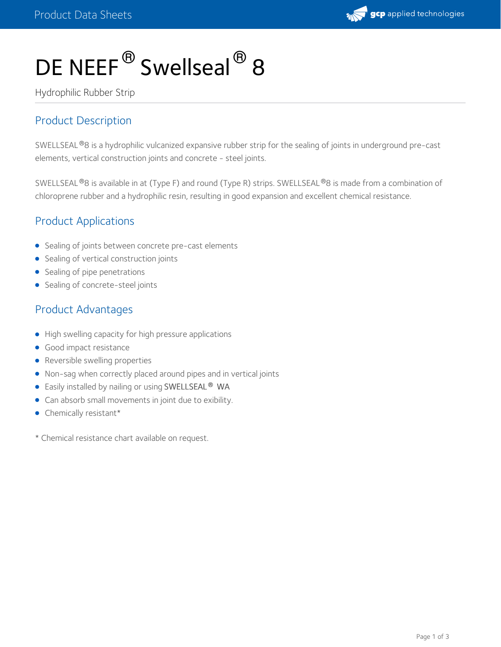

# DE NEEF<sup>®</sup> Swellseal<sup>®</sup> 8

Hydrophilic Rubber Strip

# Product Description

SWELLSEAL®8 is a hydrophilic vulcanized expansive rubber strip for the sealing of joints in underground pre-cast elements, vertical construction joints and concrete - steel joints.

SWELLSEAL®8 is available in at (Type F) and round (Type R) strips. SWELLSEAL®8 is made from a combination of chloroprene rubber and a hydrophilic resin, resulting in good expansion and excellent chemical resistance.

## Product Applications

- Sealing of joints between concrete pre-cast elements
- **•** Sealing of vertical construction joints
- Sealing of pipe penetrations
- Sealing of concrete-steel joints

## Product Advantages

- High swelling capacity for high pressure applications
- **Good impact resistance**
- Reversible swelling properties
- Non-sag when correctly placed around pipes and in vertical joints
- Easily installed by nailing or using SWELLSEAL WA **®**
- Can absorb small movements in joint due to exibility.
- Chemically resistant\*

\* Chemical resistance chart available on request.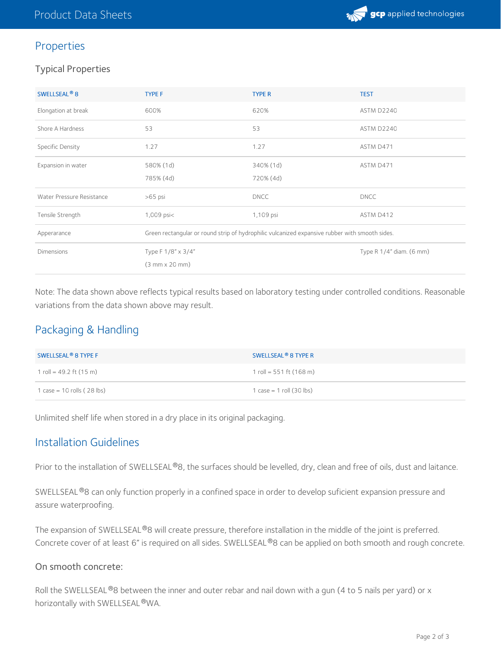

## Properties

#### Typical Properties

| SWELLSEAL <sup>®</sup> 8  | <b>TYPE F</b>                                                                                  | <b>TYPE R</b> | <b>TEST</b>              |
|---------------------------|------------------------------------------------------------------------------------------------|---------------|--------------------------|
| Elongation at break       | 600%                                                                                           | 620%          | ASTM D2240               |
| Shore A Hardness          | 53                                                                                             | 53            | ASTM D2240               |
| Specific Density          | 1.27                                                                                           | 1.27          | ASTM D471                |
| Expansion in water        | 580% (1d)                                                                                      | 340% (1d)     | ASTM D471                |
|                           | 785% (4d)                                                                                      | 720% (4d)     |                          |
| Water Pressure Resistance | $>65$ psi                                                                                      | <b>DNCC</b>   | <b>DNCC</b>              |
| Tensile Strength          | $1,009$ psi $<$                                                                                | 1,109 psi     | ASTM D412                |
| Apperarance               | Green rectangular or round strip of hydrophilic vulcanized expansive rubber with smooth sides. |               |                          |
| <b>Dimensions</b>         | Type F 1/8" x 3/4"                                                                             |               | Type R 1/4" diam. (6 mm) |
|                           | $(3 mm \times 20 mm)$                                                                          |               |                          |

Note: The data shown above reflects typical results based on laboratory testing under controlled conditions. Reasonable variations from the data shown above may result.

# Packaging & Handling

| SWELLSEAL <sup>®</sup> 8 TYPE F | SWELLSEAL <sup>®</sup> 8 TYPE R   |
|---------------------------------|-----------------------------------|
| 1 roll = 49.2 ft (15 m)         | 1 roll = 551 ft $(168 \text{ m})$ |
| 1 $case = 10$ rolls (28 lbs)    | $1 \case = 1$ roll (30 lbs)       |

Unlimited shelf life when stored in a dry place in its original packaging.

### Installation Guidelines

Prior to the installation of SWELLSEAL®8, the surfaces should be levelled, dry, clean and free of oils, dust and laitance.

SWELLSEAL®8 can only function properly in a confined space in order to develop suficient expansion pressure and assure waterproofing.

The expansion of SWELLSEAL®8 will create pressure, therefore installation in the middle of the joint is preferred. Concrete cover of at least 6" is required on all sides. SWELLSEAL®8 can be applied on both smooth and rough concrete.

#### On smooth concrete:

Roll the SWELLSEAL®8 between the inner and outer rebar and nail down with a gun (4 to 5 nails per yard) or x horizontally with SWELLSEAL®WA.